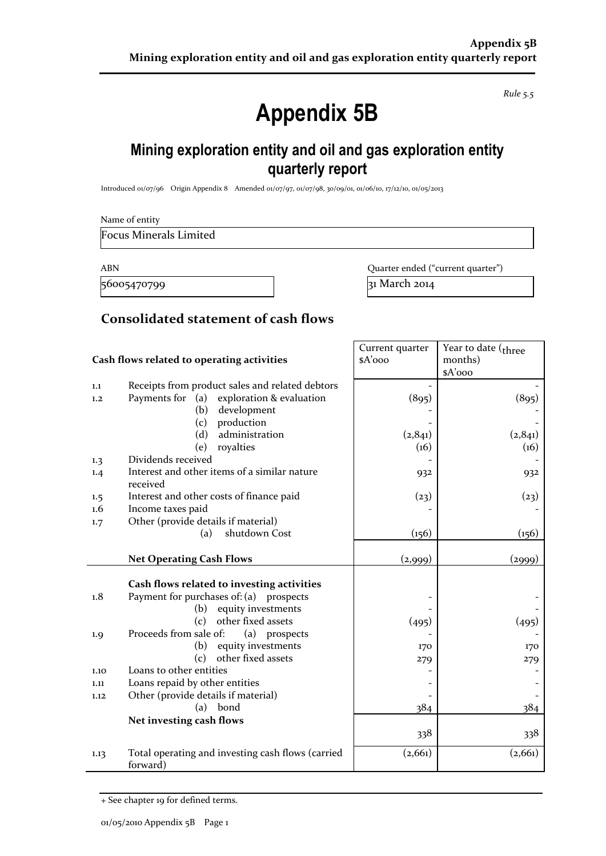*Rule 5.5*

# **Appendix 5B**

## **Mining exploration entity and oil and gas exploration entity quarterly report**

Introduced 01/07/96 Origin Appendix 8 Amended 01/07/97, 01/07/98, 30/09/01, 01/06/10, 17/12/10, 01/05/2013

Name of entity

Focus Minerals Limited

56005470799 31 March 2014

ABN **ABN** Quarter ended ("current quarter")

#### **Consolidated statement of cash flows**

|      |                                                               | Current quarter | Year to date ( <sub>three</sub> |
|------|---------------------------------------------------------------|-----------------|---------------------------------|
|      | Cash flows related to operating activities                    | \$A'ooo         | months)                         |
|      |                                                               |                 | \$A'ooo                         |
| 1.1  | Receipts from product sales and related debtors               |                 |                                 |
| 1,2  | Payments for<br>(a)<br>exploration & evaluation               | (895)           | (895)                           |
|      | development<br>(b)                                            |                 |                                 |
|      | production<br>(c)                                             |                 |                                 |
|      | administration<br>(d)                                         | (2,841)         | (2,841)                         |
|      | royalties<br>(e)                                              | (16)            | (16)                            |
| 1.3  | Dividends received                                            |                 |                                 |
| 1.4  | Interest and other items of a similar nature<br>received      | 932             | 932                             |
| 1.5  | Interest and other costs of finance paid                      | (23)            | (23)                            |
| 1.6  | Income taxes paid                                             |                 |                                 |
| 1.7  | Other (provide details if material)                           |                 |                                 |
|      | shutdown Cost<br>(a)                                          | (156)           | (156)                           |
|      |                                                               |                 |                                 |
|      | <b>Net Operating Cash Flows</b>                               | (2,999)         | (2999)                          |
|      |                                                               |                 |                                 |
|      | Cash flows related to investing activities                    |                 |                                 |
| 1.8  | Payment for purchases of: (a) prospects                       |                 |                                 |
|      | equity investments<br>(b)                                     |                 |                                 |
|      | other fixed assets<br>(c)                                     | (495)           | (495)                           |
| 1.9  | Proceeds from sale of:<br>(a)<br>prospects                    |                 |                                 |
|      | equity investments<br>(b)                                     | 170             | 170                             |
|      | other fixed assets<br>(c)                                     | 279             | 279                             |
| 1.10 | Loans to other entities                                       |                 |                                 |
| 1.11 | Loans repaid by other entities                                |                 |                                 |
| 1.12 | Other (provide details if material)                           |                 |                                 |
|      | bond<br>(a)                                                   | 384             | 384                             |
|      | Net investing cash flows                                      |                 |                                 |
|      |                                                               | 338             | 338                             |
| 1.13 | Total operating and investing cash flows (carried<br>forward) | (2,661)         | (2,661)                         |

<sup>+</sup> See chapter 19 for defined terms.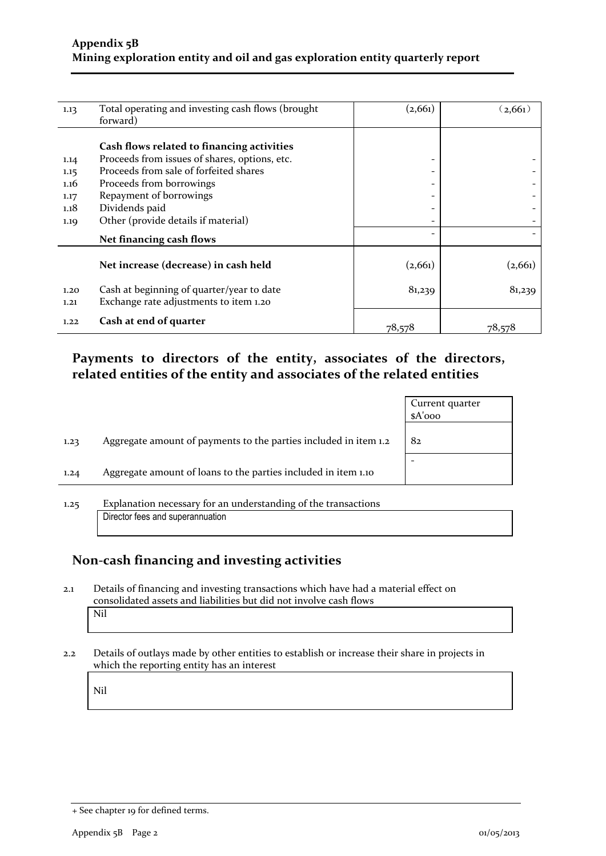| 1.13                                         | Total operating and investing cash flows (brought<br>forward)                                                                                                                                                                                         | (2, 661)                                 | (2,661) |
|----------------------------------------------|-------------------------------------------------------------------------------------------------------------------------------------------------------------------------------------------------------------------------------------------------------|------------------------------------------|---------|
| 1.14<br>1.15<br>1.16<br>1.17<br>1.18<br>1.19 | Cash flows related to financing activities<br>Proceeds from issues of shares, options, etc.<br>Proceeds from sale of forfeited shares<br>Proceeds from borrowings<br>Repayment of borrowings<br>Dividends paid<br>Other (provide details if material) | -<br>-<br>-<br>$\qquad \qquad$<br>-<br>- |         |
|                                              | Net financing cash flows                                                                                                                                                                                                                              | $\qquad \qquad$                          |         |
|                                              | Net increase (decrease) in cash held                                                                                                                                                                                                                  | (2,661)                                  | (2,661) |
| 1.20<br>1.21                                 | Cash at beginning of quarter/year to date<br>Exchange rate adjustments to item 1.20                                                                                                                                                                   | 81,239                                   | 81,239  |
| 1.22                                         | Cash at end of quarter                                                                                                                                                                                                                                | 78,578                                   | 78,578  |

#### **Payments to directors of the entity, associates of the directors, related entities of the entity and associates of the related entities**

|      |                                                                  | Current quarter<br>$A'$ ooo |
|------|------------------------------------------------------------------|-----------------------------|
| 1.23 | Aggregate amount of payments to the parties included in item 1.2 | 82                          |
| 1.24 | Aggregate amount of loans to the parties included in item 1.10   |                             |
| 1.25 | Explanation necessary for an understanding of the transactions   |                             |

## **Non-cash financing and investing activities**

Director fees and superannuation

- 2.1 Details of financing and investing transactions which have had a material effect on consolidated assets and liabilities but did not involve cash flows Nil
- 2.2 Details of outlays made by other entities to establish or increase their share in projects in which the reporting entity has an interest

Nil

<sup>+</sup> See chapter 19 for defined terms.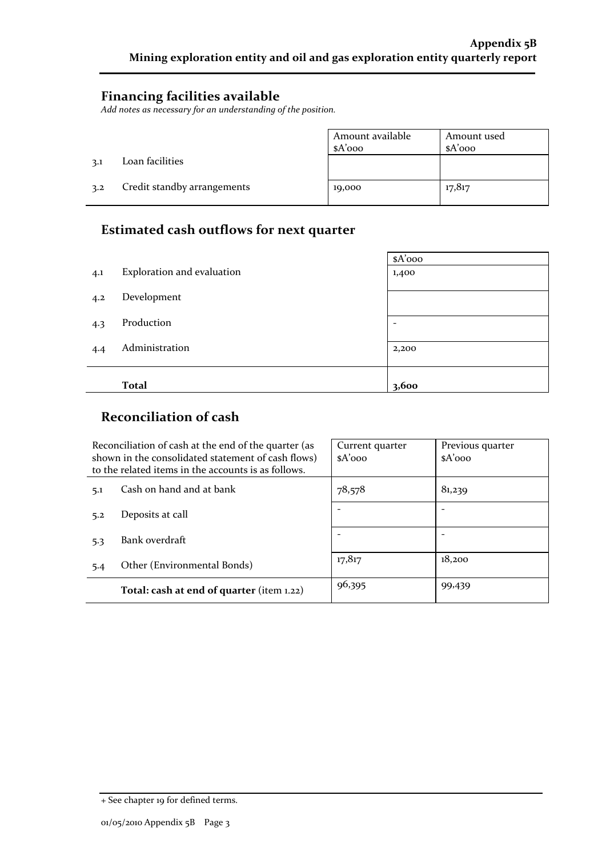#### **Financing facilities available**

*Add notes as necessary for an understanding of the position.*

|     |                             | ' Amount available | Amount used |
|-----|-----------------------------|--------------------|-------------|
|     |                             | $A'$ 000           | \$A'ooo     |
| 3.1 | Loan facilities             |                    |             |
| 3.2 | Credit standby arrangements | 19,000             | 17,817      |

#### **Estimated cash outflows for next quarter**

|     |                            | $A'$ 000 |
|-----|----------------------------|----------|
| 4.1 | Exploration and evaluation | 1,400    |
| 4.2 | Development                |          |
| 4.3 | Production                 | ۰        |
| 4.4 | Administration             | 2,200    |
|     |                            |          |
|     | <b>Total</b>               | 3,600    |

#### **Reconciliation of cash**

|                                 | Reconciliation of cash at the end of the quarter (as<br>shown in the consolidated statement of cash flows)<br>to the related items in the accounts is as follows. | Current quarter<br>$A'$ 000 | Previous quarter<br>$A'$ 000 |  |
|---------------------------------|-------------------------------------------------------------------------------------------------------------------------------------------------------------------|-----------------------------|------------------------------|--|
| Cash on hand and at bank<br>5.1 |                                                                                                                                                                   | 78,578                      | 81,239                       |  |
| 5.2                             | Deposits at call                                                                                                                                                  |                             |                              |  |
| 5.3                             | Bank overdraft                                                                                                                                                    |                             |                              |  |
| 5.4                             | Other (Environmental Bonds)                                                                                                                                       | 17,817                      | 18,200                       |  |
|                                 | Total: cash at end of quarter (item 1.22)                                                                                                                         | 96,395                      | 99,439                       |  |

<sup>+</sup> See chapter 19 for defined terms.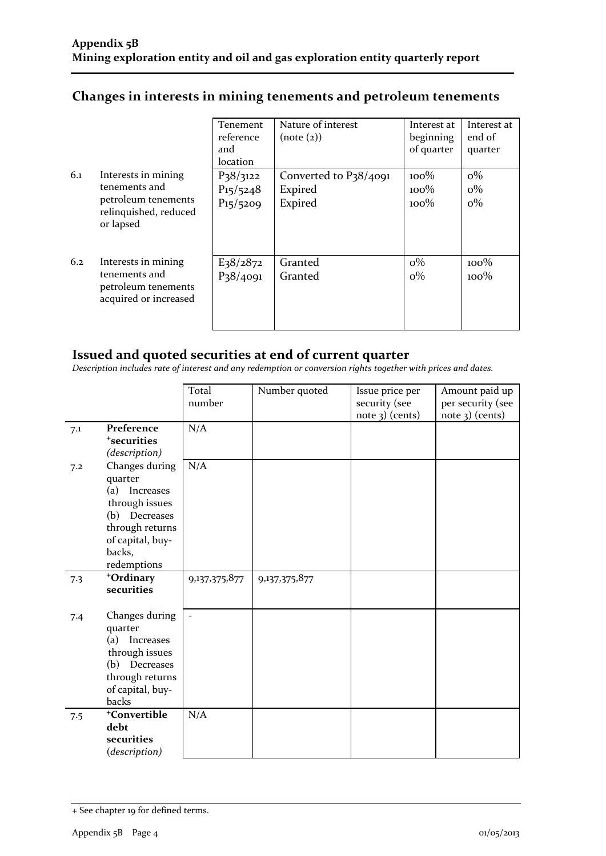|     |                                                                                                   | Tenement<br>reference<br>and<br>location    | Nature of interest<br>(note (2))            | Interest at<br>beginning<br>of quarter | Interest at<br>end of<br>quarter |
|-----|---------------------------------------------------------------------------------------------------|---------------------------------------------|---------------------------------------------|----------------------------------------|----------------------------------|
| 6.1 | Interests in mining<br>tenements and<br>petroleum tenements<br>relinquished, reduced<br>or lapsed | $P_38/3122$<br>$P_{15}/_{5248}$<br>P15/5209 | Converted to P38/4091<br>Expired<br>Expired | $100\%$<br>$100\%$<br>$100\%$          | $o\%$<br>$o\%$<br>$0\%$          |
| 6.2 | Interests in mining<br>tenements and<br>petroleum tenements<br>acquired or increased              | E <sub>3</sub> 8/2872<br>P38/4091           | Granted<br>Granted                          | $0\%$<br>$o\%$                         | $100\%$<br>$100\%$               |

### **Changes in interests in mining tenements and petroleum tenements**

#### **Issued and quoted securities at end of current quarter**

*Description includes rate of interest and any redemption or conversion rights together with prices and dates.*

|     |                                                                                                                                                     | Total<br>number          | Number quoted | Issue price per<br>security (see<br>$note$ 3) (cents) | Amount paid up<br>per security (see<br>$note$ 3) (cents) |
|-----|-----------------------------------------------------------------------------------------------------------------------------------------------------|--------------------------|---------------|-------------------------------------------------------|----------------------------------------------------------|
| 7.1 | Preference<br><sup>+</sup> securities<br>(description)                                                                                              | N/A                      |               |                                                       |                                                          |
| 7.2 | Changes during<br>quarter<br>(a)<br>Increases<br>through issues<br>(b)<br>Decreases<br>through returns<br>of capital, buy-<br>backs,<br>redemptions | N/A                      |               |                                                       |                                                          |
| 7.3 | +Ordinary<br>securities                                                                                                                             | 9,137,375,877            | 9,137,375,877 |                                                       |                                                          |
| 7.4 | Changes during<br>quarter<br>(a) Increases<br>through issues<br>(b) Decreases<br>through returns<br>of capital, buy-<br>backs                       | $\overline{\phantom{a}}$ |               |                                                       |                                                          |
| 7.5 | <sup>+</sup> Convertible<br>debt<br>securities<br>(description)                                                                                     | N/A                      |               |                                                       |                                                          |

<sup>+</sup> See chapter 19 for defined terms.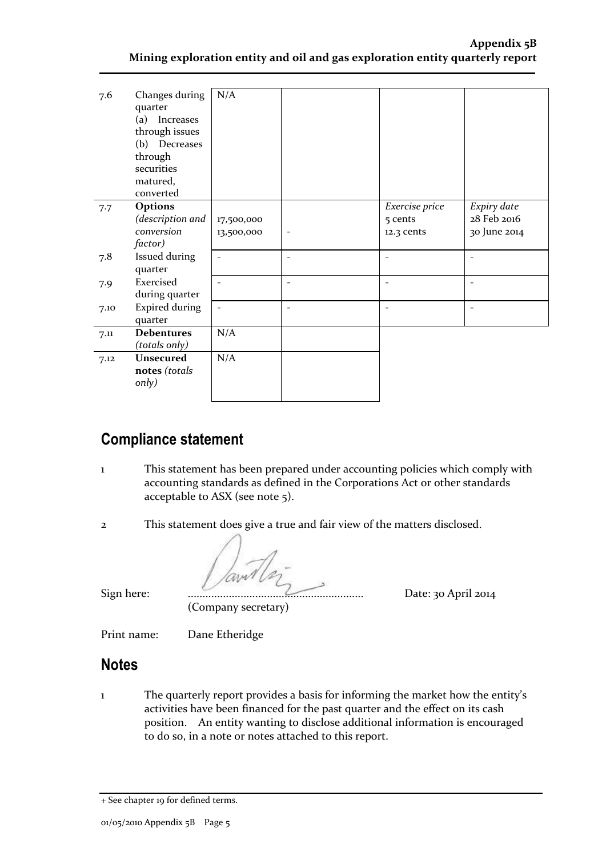#### **Appendix 5B Mining exploration entity and oil and gas exploration entity quarterly report**

| 7.6  | Changes during<br>quarter<br>(a) Increases<br>through issues<br>(b) Decreases<br>through<br>securities<br>matured,<br>converted | N/A                      |                          |                                         |                                            |
|------|---------------------------------------------------------------------------------------------------------------------------------|--------------------------|--------------------------|-----------------------------------------|--------------------------------------------|
| 7.7  | Options<br>(description and<br>conversion<br>factor)                                                                            | 17,500,000<br>13,500,000 |                          | Exercise price<br>5 cents<br>12.3 cents | Expiry date<br>28 Feb 2016<br>30 June 2014 |
| 7.8  | Issued during<br>quarter                                                                                                        | $\overline{\phantom{a}}$ | $\overline{\phantom{a}}$ | $\qquad \qquad -$                       |                                            |
| 7.9  | Exercised<br>during quarter                                                                                                     | $\overline{\phantom{a}}$ | $\overline{\phantom{a}}$ | $\qquad \qquad -$                       |                                            |
| 7.10 | <b>Expired during</b><br>quarter                                                                                                | $\overline{\phantom{a}}$ | $\overline{\phantom{a}}$ | $\overline{\phantom{0}}$                | $\overline{a}$                             |
| 7.11 | <b>Debentures</b><br>(totals only)                                                                                              | N/A                      |                          |                                         |                                            |
| 7.12 | <b>Unsecured</b><br>notes (totals<br>only)                                                                                      | N/A                      |                          |                                         |                                            |

## **Compliance statement**

- 1 This statement has been prepared under accounting policies which comply with accounting standards as defined in the Corporations Act or other standards acceptable to ASX (see note 5).
- 
- 2 This statement does give a true and fair view of the matters disclosed.

Sign here: ............................................................ Date: 30 April 2014

(Company secretary)

Print name: Dane Etheridge

#### **Notes**

1 The quarterly report provides a basis for informing the market how the entity's activities have been financed for the past quarter and the effect on its cash position. An entity wanting to disclose additional information is encouraged to do so, in a note or notes attached to this report.

<sup>+</sup> See chapter 19 for defined terms.